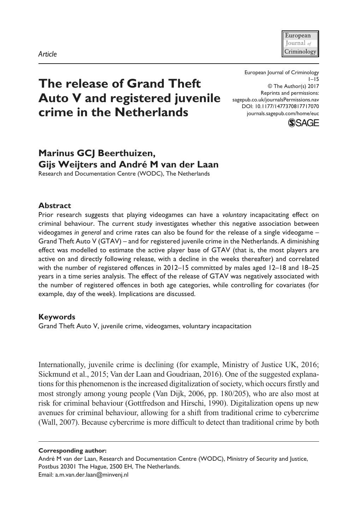

# **The release of Grand Theft Auto V and registered juvenile crime in the Netherlands**

DOI: 10.1177/1477370817717070 European Journal of Criminology  $1 - 15$ © The Author(s) 2017 Reprints and permissions: sagepub.co.uk/journalsPermissions.nav journals.sagepub.com/home/euc



## **Marinus GCJ Beerthuizen, Gijs Weijters and André M van der Laan** Research and Documentation Centre (WODC), The Netherlands

#### **Abstract**

Prior research suggests that playing videogames can have a *voluntary* incapacitating effect on criminal behaviour. The current study investigates whether this negative association between videogames *in general* and crime rates can also be found for the release of a single videogame – Grand Theft Auto V (GTAV) – and for registered juvenile crime in the Netherlands. A diminishing effect was modelled to estimate the active player base of GTAV (that is, the most players are active on and directly following release, with a decline in the weeks thereafter) and correlated with the number of registered offences in 2012–15 committed by males aged 12–18 and 18–25 years in a time series analysis. The effect of the release of GTAV was negatively associated with the number of registered offences in both age categories, while controlling for covariates (for example, day of the week). Implications are discussed.

#### **Keywords**

Grand Theft Auto V, juvenile crime, videogames, voluntary incapacitation

Internationally, juvenile crime is declining (for example, Ministry of Justice UK, 2016; Sickmund et al., 2015; Van der Laan and Goudriaan, 2016). One of the suggested explanations for this phenomenon is the increased digitalization of society, which occurs firstly and most strongly among young people (Van Dijk, 2006, pp. 180/205), who are also most at risk for criminal behaviour (Gottfredson and Hirschi, 1990). Digitalization opens up new avenues for criminal behaviour, allowing for a shift from traditional crime to cybercrime (Wall, 2007). Because cybercrime is more difficult to detect than traditional crime by both

**Corresponding author:**

André M van der Laan, Research and Documentation Centre (WODC), Ministry of Security and Justice, Postbus 20301 The Hague, 2500 EH, The Netherlands. Email: a.m.van.der.laan@minvenj.nl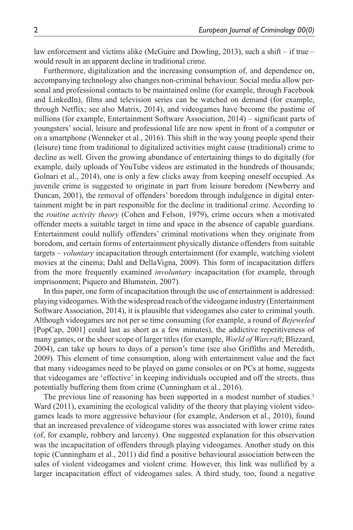law enforcement and victims alike (McGuire and Dowling, 2013), such a shift – if true – would result in an apparent decline in traditional crime.

Furthermore, digitalization and the increasing consumption of, and dependence on, accompanying technology also changes non-criminal behaviour. Social media allow personal and professional contacts to be maintained online (for example, through Facebook and LinkedIn), films and television series can be watched on demand (for example, through Netflix; see also Matrix, 2014), and videogames have become the pastime of millions (for example, Entertainment Software Association, 2014) – significant parts of youngsters' social, leisure and professional life are now spent in front of a computer or on a smartphone (Wenneker et al., 2016). This shift in the way young people spend their (leisure) time from traditional to digitalized activities might cause (traditional) crime to decline as well. Given the growing abundance of entertaining things to do digitally (for example, daily uploads of YouTube videos are estimated in the hundreds of thousands; Golnari et al., 2014), one is only a few clicks away from keeping oneself occupied. As juvenile crime is suggested to originate in part from leisure boredom (Newberry and Duncan, 2001), the removal of offenders' boredom through indulgence in digital entertainment might be in part responsible for the decline in traditional crime. According to the *routine activity theory* (Cohen and Felson, 1979), crime occurs when a motivated offender meets a suitable target in time and space in the absence of capable guardians. Entertainment could nullify offenders' criminal motivations when they originate from boredom, and certain forms of entertainment physically distance offenders from suitable targets – *voluntary* incapacitation through entertainment (for example, watching violent movies at the cinema; Dahl and DellaVigna, 2009). This form of incapacitation differs from the more frequently examined *involuntary* incapacitation (for example, through imprisonment; Piquero and Blumstein, 2007).

In this paper, one form of incapacitation through the use of entertainment is addressed: playing videogames. With the widespread reach of the videogame industry (Entertainment Software Association, 2014), it is plausible that videogames also cater to criminal youth. Although videogames are not per se time consuming (for example, a round of *Bejeweled* [PopCap, 2001] could last as short as a few minutes), the addictive repetitiveness of many games, or the sheer scope of larger titles (for example, *World of Warcraft*; Blizzard, 2004), can take up hours to days of a person's time (see also Griffiths and Meredith, 2009). This element of time consumption, along with entertainment value and the fact that many videogames need to be played on game consoles or on PCs at home, suggests that videogames are 'effective' in keeping individuals occupied and off the streets, thus potentially buffering them from crime (Cunningham et al., 2016).

The previous line of reasoning has been supported in a modest number of studies.<sup>1</sup> Ward (2011), examining the ecological validity of the theory that playing violent videogames leads to more aggressive behaviour (for example, Anderson et al., 2010), found that an increased prevalence of videogame stores was associated with lower crime rates (of, for example, robbery and larceny). One suggested explanation for this observation was the incapacitation of offenders through playing videogames. Another study on this topic (Cunningham et al., 2011) did find a positive behavioural association between the sales of violent videogames and violent crime. However, this link was nullified by a larger incapacitation effect of videogames sales. A third study, too, found a negative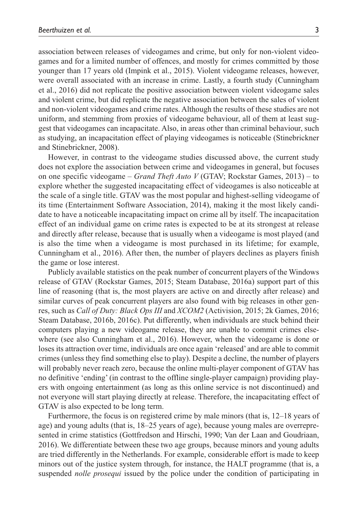association between releases of videogames and crime, but only for non-violent videogames and for a limited number of offences, and mostly for crimes committed by those younger than 17 years old (Impink et al., 2015). Violent videogame releases, however, were overall associated with an increase in crime. Lastly, a fourth study (Cunningham et al., 2016) did not replicate the positive association between violent videogame sales and violent crime, but did replicate the negative association between the sales of violent and non-violent videogames and crime rates. Although the results of these studies are not uniform, and stemming from proxies of videogame behaviour, all of them at least suggest that videogames can incapacitate. Also, in areas other than criminal behaviour, such as studying, an incapacitation effect of playing videogames is noticeable (Stinebrickner and Stinebrickner, 2008).

However, in contrast to the videogame studies discussed above, the current study does not explore the association between crime and videogames in general, but focuses on one specific videogame – *Grand Theft Auto V* (GTAV; Rockstar Games, 2013) – to explore whether the suggested incapacitating effect of videogames is also noticeable at the scale of a single title. GTAV was the most popular and highest-selling videogame of its time (Entertainment Software Association, 2014), making it the most likely candidate to have a noticeable incapacitating impact on crime all by itself. The incapacitation effect of an individual game on crime rates is expected to be at its strongest at release and directly after release, because that is usually when a videogame is most played (and is also the time when a videogame is most purchased in its lifetime; for example, Cunningham et al., 2016). After then, the number of players declines as players finish the game or lose interest.

Publicly available statistics on the peak number of concurrent players of the Windows release of GTAV (Rockstar Games, 2015; Steam Database, 2016a) support part of this line of reasoning (that is, the most players are active on and directly after release) and similar curves of peak concurrent players are also found with big releases in other genres, such as *Call of Duty: Black Ops III* and *XCOM2* (Activision, 2015; 2k Games, 2016; Steam Database, 2016b, 2016c). Put differently, when individuals are stuck behind their computers playing a new videogame release, they are unable to commit crimes elsewhere (see also Cunningham et al., 2016). However, when the videogame is done or loses its attraction over time, individuals are once again 'released' and are able to commit crimes (unless they find something else to play). Despite a decline, the number of players will probably never reach zero, because the online multi-player component of GTAV has no definitive 'ending' (in contrast to the offline single-player campaign) providing players with ongoing entertainment (as long as this online service is not discontinued) and not everyone will start playing directly at release. Therefore, the incapacitating effect of GTAV is also expected to be long term.

Furthermore, the focus is on registered crime by male minors (that is, 12–18 years of age) and young adults (that is, 18–25 years of age), because young males are overrepresented in crime statistics (Gottfredson and Hirschi, 1990; Van der Laan and Goudriaan, 2016). We differentiate between these two age groups, because minors and young adults are tried differently in the Netherlands. For example, considerable effort is made to keep minors out of the justice system through, for instance, the HALT programme (that is, a suspended *nolle prosequi* issued by the police under the condition of participating in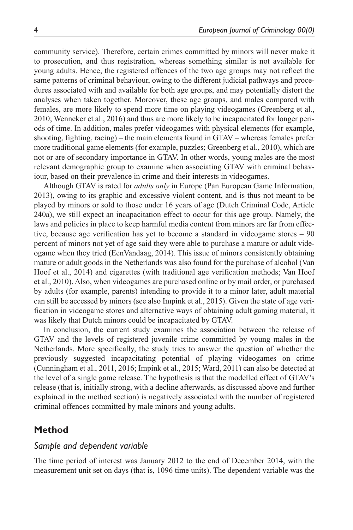community service). Therefore, certain crimes committed by minors will never make it to prosecution, and thus registration, whereas something similar is not available for young adults. Hence, the registered offences of the two age groups may not reflect the same patterns of criminal behaviour, owing to the different judicial pathways and procedures associated with and available for both age groups, and may potentially distort the analyses when taken together. Moreover, these age groups, and males compared with females, are more likely to spend more time on playing videogames (Greenberg et al., 2010; Wenneker et al., 2016) and thus are more likely to be incapacitated for longer periods of time. In addition, males prefer videogames with physical elements (for example, shooting, fighting, racing) – the main elements found in GTAV – whereas females prefer more traditional game elements (for example, puzzles; Greenberg et al., 2010), which are not or are of secondary importance in GTAV. In other words, young males are the most relevant demographic group to examine when associating GTAV with criminal behaviour, based on their prevalence in crime and their interests in videogames.

Although GTAV is rated for *adults only* in Europe (Pan European Game Information, 2013), owing to its graphic and excessive violent content, and is thus not meant to be played by minors or sold to those under 16 years of age (Dutch Criminal Code, Article 240a), we still expect an incapacitation effect to occur for this age group. Namely, the laws and policies in place to keep harmful media content from minors are far from effective, because age verification has yet to become a standard in videogame stores – 90 percent of minors not yet of age said they were able to purchase a mature or adult videogame when they tried (EenVandaag, 2014). This issue of minors consistently obtaining mature or adult goods in the Netherlands was also found for the purchase of alcohol (Van Hoof et al., 2014) and cigarettes (with traditional age verification methods; Van Hoof et al., 2010). Also, when videogames are purchased online or by mail order, or purchased by adults (for example, parents) intending to provide it to a minor later, adult material can still be accessed by minors (see also Impink et al., 2015). Given the state of age verification in videogame stores and alternative ways of obtaining adult gaming material, it was likely that Dutch minors could be incapacitated by GTAV.

In conclusion, the current study examines the association between the release of GTAV and the levels of registered juvenile crime committed by young males in the Netherlands. More specifically, the study tries to answer the question of whether the previously suggested incapacitating potential of playing videogames on crime (Cunningham et al., 2011, 2016; Impink et al., 2015; Ward, 2011) can also be detected at the level of a single game release. The hypothesis is that the modelled effect of GTAV's release (that is, initially strong, with a decline afterwards, as discussed above and further explained in the method section) is negatively associated with the number of registered criminal offences committed by male minors and young adults.

# **Method**

## *Sample and dependent variable*

The time period of interest was January 2012 to the end of December 2014, with the measurement unit set on days (that is, 1096 time units). The dependent variable was the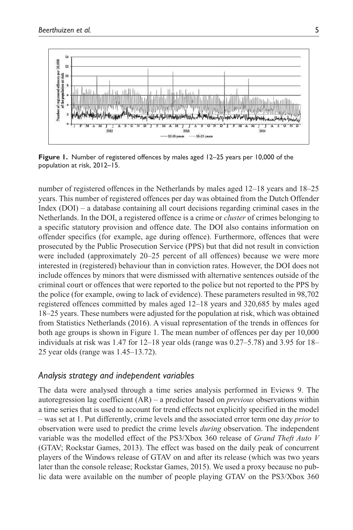

**Figure 1.** Number of registered offences by males aged 12–25 years per 10,000 of the population at risk, 2012–15.

number of registered offences in the Netherlands by males aged 12–18 years and 18–25 years. This number of registered offences per day was obtained from the Dutch Offender Index (DOI) – a database containing all court decisions regarding criminal cases in the Netherlands. In the DOI, a registered offence is a crime or *cluster* of crimes belonging to a specific statutory provision and offence date. The DOI also contains information on offender specifics (for example, age during offence). Furthermore, offences that were prosecuted by the Public Prosecution Service (PPS) but that did not result in conviction were included (approximately 20–25 percent of all offences) because we were more interested in (registered) behaviour than in conviction rates. However, the DOI does not include offences by minors that were dismissed with alternative sentences outside of the criminal court or offences that were reported to the police but not reported to the PPS by the police (for example, owing to lack of evidence). These parameters resulted in 98,702 registered offences committed by males aged 12–18 years and 320,685 by males aged 18–25 years. These numbers were adjusted for the population at risk, which was obtained from Statistics Netherlands (2016). A visual representation of the trends in offences for both age groups is shown in Figure 1. The mean number of offences per day per 10,000 individuals at risk was 1.47 for 12–18 year olds (range was 0.27–5.78) and 3.95 for 18– 25 year olds (range was 1.45–13.72).

## *Analysis strategy and independent variables*

The data were analysed through a time series analysis performed in Eviews 9. The autoregression lag coefficient (AR) – a predictor based on *previous* observations within a time series that is used to account for trend effects not explicitly specified in the model – was set at 1. Put differently, crime levels and the associated error term one day *prior* to observation were used to predict the crime levels *during* observation. The independent variable was the modelled effect of the PS3/Xbox 360 release of *Grand Theft Auto V* (GTAV; Rockstar Games, 2013). The effect was based on the daily peak of concurrent players of the Windows release of GTAV on and after its release (which was two years later than the console release; Rockstar Games, 2015). We used a proxy because no public data were available on the number of people playing GTAV on the PS3/Xbox 360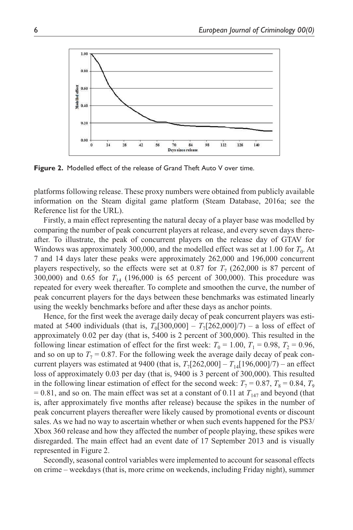

**Figure 2.** Modelled effect of the release of Grand Theft Auto V over time.

platforms following release. These proxy numbers were obtained from publicly available information on the Steam digital game platform (Steam Database, 2016a; see the Reference list for the URL).

Firstly, a main effect representing the natural decay of a player base was modelled by comparing the number of peak concurrent players at release, and every seven days thereafter. To illustrate, the peak of concurrent players on the release day of GTAV for Windows was approximately 300,000, and the modelled effect was set at  $1.00$  for  $T_0$ . At 7 and 14 days later these peaks were approximately 262,000 and 196,000 concurrent players respectively, so the effects were set at  $0.87$  for  $T<sub>7</sub>$  (262,000 is 87 percent of 300,000) and 0.65 for  $T_{14}$  (196,000 is 65 percent of 300,000). This procedure was repeated for every week thereafter. To complete and smoothen the curve, the number of peak concurrent players for the days between these benchmarks was estimated linearly using the weekly benchmarks before and after these days as anchor points.

Hence, for the first week the average daily decay of peak concurrent players was estimated at 5400 individuals (that is,  $T_0[300,000] - T_7[262,000]/7$ ) – a loss of effect of approximately 0.02 per day (that is, 5400 is 2 percent of 300,000). This resulted in the following linear estimation of effect for the first week:  $T_0 = 1.00$ ,  $T_1 = 0.98$ ,  $T_2 = 0.96$ , and so on up to  $T_7 = 0.87$ . For the following week the average daily decay of peak concurrent players was estimated at 9400 (that is,  $T_7[262,000] - T_{14}[196,000]/7$ ) – an effect loss of approximately 0.03 per day (that is, 9400 is 3 percent of 300,000). This resulted in the following linear estimation of effect for the second week:  $T_7 = 0.87$ ,  $T_8 = 0.84$ ,  $T_9$  $= 0.81$ , and so on. The main effect was set at a constant of 0.11 at  $T_{147}$  and beyond (that is, after approximately five months after release) because the spikes in the number of peak concurrent players thereafter were likely caused by promotional events or discount sales. As we had no way to ascertain whether or when such events happened for the PS3/ Xbox 360 release and how they affected the number of people playing, these spikes were disregarded. The main effect had an event date of 17 September 2013 and is visually represented in Figure 2.

Secondly, seasonal control variables were implemented to account for seasonal effects on crime – weekdays (that is, more crime on weekends, including Friday night), summer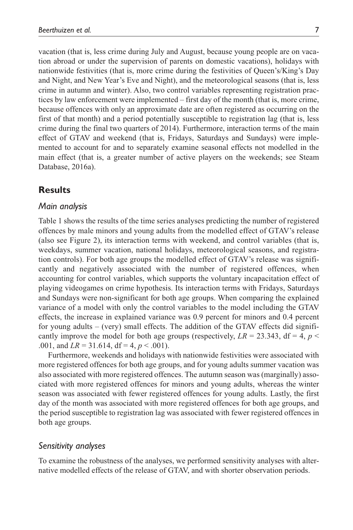vacation (that is, less crime during July and August, because young people are on vacation abroad or under the supervision of parents on domestic vacations), holidays with nationwide festivities (that is, more crime during the festivities of Queen's/King's Day and Night, and New Year's Eve and Night), and the meteorological seasons (that is, less crime in autumn and winter). Also, two control variables representing registration practices by law enforcement were implemented – first day of the month (that is, more crime, because offences with only an approximate date are often registered as occurring on the first of that month) and a period potentially susceptible to registration lag (that is, less crime during the final two quarters of 2014). Furthermore, interaction terms of the main effect of GTAV and weekend (that is, Fridays, Saturdays and Sundays) were implemented to account for and to separately examine seasonal effects not modelled in the main effect (that is, a greater number of active players on the weekends; see Steam Database, 2016a).

## **Results**

### *Main analysis*

Table 1 shows the results of the time series analyses predicting the number of registered offences by male minors and young adults from the modelled effect of GTAV's release (also see Figure 2), its interaction terms with weekend, and control variables (that is, weekdays, summer vacation, national holidays, meteorological seasons, and registration controls). For both age groups the modelled effect of GTAV's release was significantly and negatively associated with the number of registered offences, when accounting for control variables, which supports the voluntary incapacitation effect of playing videogames on crime hypothesis. Its interaction terms with Fridays, Saturdays and Sundays were non-significant for both age groups. When comparing the explained variance of a model with only the control variables to the model including the GTAV effects, the increase in explained variance was 0.9 percent for minors and 0.4 percent for young adults – (very) small effects. The addition of the GTAV effects did significantly improve the model for both age groups (respectively,  $LR = 23.343$ , df = 4,  $p <$ .001, and  $LR = 31.614$ , df = 4,  $p < .001$ ).

Furthermore, weekends and holidays with nationwide festivities were associated with more registered offences for both age groups, and for young adults summer vacation was also associated with more registered offences. The autumn season was (marginally) associated with more registered offences for minors and young adults, whereas the winter season was associated with fewer registered offences for young adults. Lastly, the first day of the month was associated with more registered offences for both age groups, and the period susceptible to registration lag was associated with fewer registered offences in both age groups.

## *Sensitivity analyses*

To examine the robustness of the analyses, we performed sensitivity analyses with alternative modelled effects of the release of GTAV, and with shorter observation periods.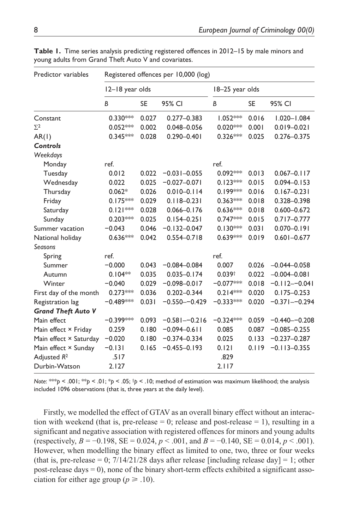| Predictor variables       | Registered offences per 10,000 (log) |           |                   |                    |           |                   |
|---------------------------|--------------------------------------|-----------|-------------------|--------------------|-----------|-------------------|
|                           | 12-18 year olds                      |           |                   | 18-25 year olds    |           |                   |
|                           | B                                    | <b>SE</b> | 95% CI            | B                  | <b>SE</b> | 95% CI            |
| Constant                  | $0.330***$                           | 0.027     | $0.277 - 0.383$   | $1.052***$         | 0.016     | $1.020 - 1.084$   |
| $\Sigma^2$                | $0.052***$                           | 0.002     | 0.048-0.056       | $0.020***$         | 0.001     | $0.019 - 0.021$   |
| AR(1)                     | $0.345***$                           | 0.028     | $0.290 - 0.401$   | $0.326***$         | 0.025     | 0.276-0.375       |
| <b>Controls</b>           |                                      |           |                   |                    |           |                   |
| Weekdays                  |                                      |           |                   |                    |           |                   |
| Monday                    | ref.                                 |           |                   | ref.               |           |                   |
| Tuesday                   | 0.012                                | 0.022     | $-0.031 - 0.055$  | $0.092***$         | 0.013     | $0.067 - 0.117$   |
| Wednesday                 | 0.022                                | 0.025     | $-0.027 - 0.071$  | $0.123***$         | 0.015     | $0.094 - 0.153$   |
| Thursday                  | $0.062*$                             | 0.026     | $0.010 - 0.114$   | $0.199***$         | 0.016     | $0.167 - 0.231$   |
| Friday                    | $0.175***$                           | 0.029     | $0.118 - 0.231$   | $0.363***$         | 0.018     | 0.328-0.398       |
| Saturday                  | $0.121***$                           | 0.028     | $0.066 - 0.176$   | $0.636***$         | 0.018     | $0.600 - 0.672$   |
| Sunday                    | $0.203***$                           | 0.025     | $0.154 - 0.251$   | $0.747***$         | 0.015     | $0.717 - 0.777$   |
| Summer vacation           | $-0.043$                             | 0.046     | $-0.132 - 0.047$  | $0.130***$         | 0.031     | $0.070 - 0.191$   |
| National holiday          | $0.636***$                           | 0.042     | $0.554 - 0.718$   | $0.639***$         | 0.019     | $0.601 - 0.677$   |
| <b>Seasons</b>            |                                      |           |                   |                    |           |                   |
| Spring                    | ref.                                 |           |                   | ref.               |           |                   |
| Summer                    | $-0.000$                             | 0.043     | $-0.084 - 0.084$  | 0.007              | 0.026     | $-0.044 - 0.058$  |
| Autumn                    | $0.104**$                            | 0.035     | $0.035 - 0.174$   | 0.039 <sup>†</sup> | 0.022     | $-0.004 - 0.081$  |
| Winter                    | $-0.040$                             | 0.029     | $-0.098 - 0.017$  | $-0.077***$        | 0.018     | $-0.112 - -0.041$ |
| First day of the month    | $0.273***$                           | 0.036     | $0.202 - 0.344$   | $0.214***$         | 0.020     | $0.175 - 0.253$   |
| Registration lag          | $-0.489***$                          | 0.031     | $-0.550 - -0.429$ | $-0.333***$        | 0.020     | $-0.371 - -0.294$ |
| <b>Grand Theft Auto V</b> |                                      |           |                   |                    |           |                   |
| Main effect               | $-0.399***$                          | 0.093     | $-0.581 - -0.216$ | $-0.324***$        | 0.059     | $-0.440 - 0.208$  |
| Main effect × Friday      | 0.259                                | 0.180     | $-0.094 - 0.611$  | 0.085              | 0.087     | $-0.085 - 0.255$  |
| Main effect × Saturday    | $-0.020$                             | 0.180     | $-0.374 - 0.334$  | 0.025              | 0.133     | $-0.237 - 0.287$  |
| Main effect × Sunday      | $-0.131$                             | 0.165     | $-0.455 - 0.193$  | 0.121              | 0.119     | $-0.113 - 0.355$  |
| Adjusted $R^2$            | .517                                 |           |                   | .829               |           |                   |
| Durbin-Watson             | 2.127                                |           |                   | 2.117              |           |                   |

**Table 1.** Time series analysis predicting registered offences in 2012–15 by male minors and young adults from Grand Theft Auto V and covariates.

*Note*: \*\*\**p* < .001; \*\**p* < .01; \**p* < .05; †*p* < .10; method of estimation was maximum likelihood; the analysis included 1096 observations (that is, three years at the daily level).

Firstly, we modelled the effect of GTAV as an overall binary effect without an interaction with weekend (that is, pre-release  $= 0$ ; release and post-release  $= 1$ ), resulting in a significant and negative association with registered offences for minors and young adults (respectively,  $B = -0.198$ ,  $SE = 0.024$ ,  $p < .001$ , and  $B = -0.140$ ,  $SE = 0.014$ ,  $p < .001$ ). However, when modelling the binary effect as limited to one, two, three or four weeks (that is, pre-release = 0;  $7/14/21/28$  days after release [including release day] = 1; other post-release days = 0), none of the binary short-term effects exhibited a significant association for either age group ( $p \ge 0.10$ ).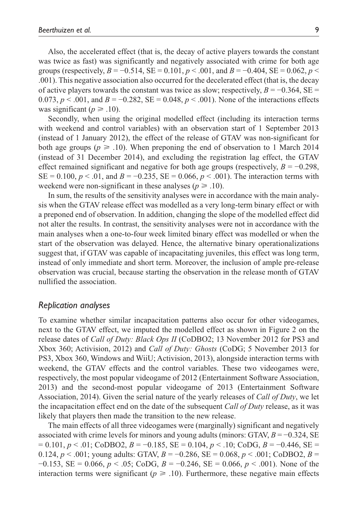Also, the accelerated effect (that is, the decay of active players towards the constant was twice as fast) was significantly and negatively associated with crime for both age groups (respectively,  $B = -0.514$ ,  $SE = 0.101$ ,  $p < .001$ , and  $B = -0.404$ ,  $SE = 0.062$ ,  $p < .001$ .001). This negative association also occurred for the decelerated effect (that is, the decay of active players towards the constant was twice as slow; respectively,  $B = -0.364$ , SE = 0.073, *p* < .001, and *B* = −0.282, SE = 0.048, *p* < .001). None of the interactions effects was significant ( $p \ge 0.10$ ).

Secondly, when using the original modelled effect (including its interaction terms with weekend and control variables) with an observation start of 1 September 2013 (instead of 1 January 2012), the effect of the release of GTAV was non-significant for both age groups ( $p \ge 0.10$ ). When preponing the end of observation to 1 March 2014 (instead of 31 December 2014), and excluding the registration lag effect, the GTAV effect remained significant and negative for both age groups (respectively,  $B = -0.298$ , SE = 0.100,  $p < 0.01$ , and  $B = -0.235$ , SE = 0.066,  $p < 0.001$ ). The interaction terms with weekend were non-significant in these analyses ( $p \ge 0.10$ ).

In sum, the results of the sensitivity analyses were in accordance with the main analysis when the GTAV release effect was modelled as a very long-term binary effect or with a preponed end of observation. In addition, changing the slope of the modelled effect did not alter the results. In contrast, the sensitivity analyses were not in accordance with the main analyses when a one-to-four week limited binary effect was modelled or when the start of the observation was delayed. Hence, the alternative binary operationalizations suggest that, if GTAV was capable of incapacitating juveniles, this effect was long term, instead of only immediate and short term. Moreover, the inclusion of ample pre-release observation was crucial, because starting the observation in the release month of GTAV nullified the association.

#### *Replication analyses*

To examine whether similar incapacitation patterns also occur for other videogames, next to the GTAV effect, we imputed the modelled effect as shown in Figure 2 on the release dates of *Call of Duty: Black Ops II* (CoDBO2; 13 November 2012 for PS3 and Xbox 360; Activision, 2012) and *Call of Duty: Ghosts* (CoDG; 5 November 2013 for PS3, Xbox 360, Windows and WiiU; Activision, 2013), alongside interaction terms with weekend, the GTAV effects and the control variables. These two videogames were, respectively, the most popular videogame of 2012 (Entertainment Software Association, 2013) and the second-most popular videogame of 2013 (Entertainment Software Association, 2014). Given the serial nature of the yearly releases of *Call of Duty*, we let the incapacitation effect end on the date of the subsequent *Call of Duty* release, as it was likely that players then made the transition to the new release.

The main effects of all three videogames were (marginally) significant and negatively associated with crime levels for minors and young adults (minors: GTAV, *B* = −0.324, SE = 0.101, *p* < .01; CoDBO2, *B* = −0.185, SE = 0.104, *p* < .10; CoDG, *B* = −0.446, SE = 0.124,  $p < .001$ ; young adults: GTAV,  $B = -0.286$ ,  $SE = 0.068$ ,  $p < .001$ ; CoDBO2,  $B =$ −0.153, SE = 0.066, *p* < .05; CoDG, *B* = −0.246, SE = 0.066, *p* < .001). None of the interaction terms were significant ( $p \ge 0.10$ ). Furthermore, these negative main effects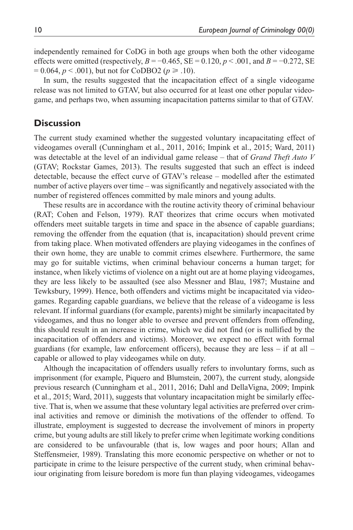independently remained for CoDG in both age groups when both the other videogame effects were omitted (respectively,  $B = -0.465$ ,  $SE = 0.120$ ,  $p < .001$ , and  $B = -0.272$ , SE  $= 0.064, p < .001$ , but not for CoDBO2 ( $p \ge .10$ ).

In sum, the results suggested that the incapacitation effect of a single videogame release was not limited to GTAV, but also occurred for at least one other popular videogame, and perhaps two, when assuming incapacitation patterns similar to that of GTAV.

# **Discussion**

The current study examined whether the suggested voluntary incapacitating effect of videogames overall (Cunningham et al., 2011, 2016; Impink et al., 2015; Ward, 2011) was detectable at the level of an individual game release – that of *Grand Theft Auto V* (GTAV; Rockstar Games, 2013). The results suggested that such an effect is indeed detectable, because the effect curve of GTAV's release – modelled after the estimated number of active players over time – was significantly and negatively associated with the number of registered offences committed by male minors and young adults.

These results are in accordance with the routine activity theory of criminal behaviour (RAT; Cohen and Felson, 1979). RAT theorizes that crime occurs when motivated offenders meet suitable targets in time and space in the absence of capable guardians; removing the offender from the equation (that is, incapacitation) should prevent crime from taking place. When motivated offenders are playing videogames in the confines of their own home, they are unable to commit crimes elsewhere. Furthermore, the same may go for suitable victims, when criminal behaviour concerns a human target; for instance, when likely victims of violence on a night out are at home playing videogames, they are less likely to be assaulted (see also Messner and Blau, 1987; Mustaine and Tewksbury, 1999). Hence, both offenders and victims might be incapacitated via videogames. Regarding capable guardians, we believe that the release of a videogame is less relevant. If informal guardians (for example, parents) might be similarly incapacitated by videogames, and thus no longer able to oversee and prevent offenders from offending, this should result in an increase in crime, which we did not find (or is nullified by the incapacitation of offenders and victims). Moreover, we expect no effect with formal guardians (for example, law enforcement officers), because they are less  $-$  if at all  $$ capable or allowed to play videogames while on duty.

Although the incapacitation of offenders usually refers to involuntary forms, such as imprisonment (for example, Piquero and Blumstein, 2007), the current study, alongside previous research (Cunningham et al., 2011, 2016; Dahl and DellaVigna, 2009; Impink et al., 2015; Ward, 2011), suggests that voluntary incapacitation might be similarly effective. That is, when we assume that these voluntary legal activities are preferred over criminal activities and remove or diminish the motivations of the offender to offend. To illustrate, employment is suggested to decrease the involvement of minors in property crime, but young adults are still likely to prefer crime when legitimate working conditions are considered to be unfavourable (that is, low wages and poor hours; Allan and Steffensmeier, 1989). Translating this more economic perspective on whether or not to participate in crime to the leisure perspective of the current study, when criminal behaviour originating from leisure boredom is more fun than playing videogames, videogames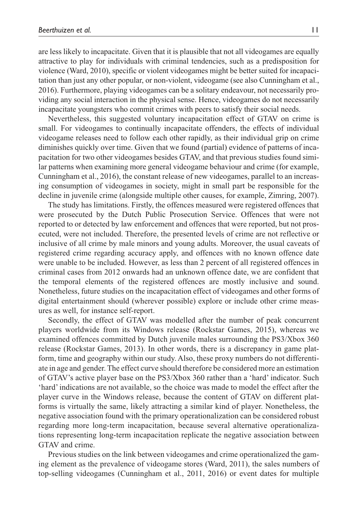are less likely to incapacitate. Given that it is plausible that not all videogames are equally attractive to play for individuals with criminal tendencies, such as a predisposition for violence (Ward, 2010), specific or violent videogames might be better suited for incapacitation than just any other popular, or non-violent, videogame (see also Cunningham et al., 2016). Furthermore, playing videogames can be a solitary endeavour, not necessarily providing any social interaction in the physical sense. Hence, videogames do not necessarily incapacitate youngsters who commit crimes with peers to satisfy their social needs.

Nevertheless, this suggested voluntary incapacitation effect of GTAV on crime is small. For videogames to continually incapacitate offenders, the effects of individual videogame releases need to follow each other rapidly, as their individual grip on crime diminishes quickly over time. Given that we found (partial) evidence of patterns of incapacitation for two other videogames besides GTAV, and that previous studies found similar patterns when examining more general videogame behaviour and crime (for example, Cunningham et al., 2016), the constant release of new videogames, parallel to an increasing consumption of videogames in society, might in small part be responsible for the decline in juvenile crime (alongside multiple other causes, for example, Zimring, 2007).

The study has limitations. Firstly, the offences measured were registered offences that were prosecuted by the Dutch Public Prosecution Service. Offences that were not reported to or detected by law enforcement and offences that were reported, but not prosecuted, were not included. Therefore, the presented levels of crime are not reflective or inclusive of all crime by male minors and young adults. Moreover, the usual caveats of registered crime regarding accuracy apply, and offences with no known offence date were unable to be included. However, as less than 2 percent of all registered offences in criminal cases from 2012 onwards had an unknown offence date, we are confident that the temporal elements of the registered offences are mostly inclusive and sound. Nonetheless, future studies on the incapacitation effect of videogames and other forms of digital entertainment should (wherever possible) explore or include other crime measures as well, for instance self-report.

Secondly, the effect of GTAV was modelled after the number of peak concurrent players worldwide from its Windows release (Rockstar Games, 2015), whereas we examined offences committed by Dutch juvenile males surrounding the PS3/Xbox 360 release (Rockstar Games, 2013). In other words, there is a discrepancy in game platform, time and geography within our study. Also, these proxy numbers do not differentiate in age and gender. The effect curve should therefore be considered more an estimation of GTAV's active player base on the PS3/Xbox 360 rather than a 'hard' indicator. Such 'hard' indications are not available, so the choice was made to model the effect after the player curve in the Windows release, because the content of GTAV on different platforms is virtually the same, likely attracting a similar kind of player. Nonetheless, the negative association found with the primary operationalization can be considered robust regarding more long-term incapacitation, because several alternative operationalizations representing long-term incapacitation replicate the negative association between GTAV and crime.

Previous studies on the link between videogames and crime operationalized the gaming element as the prevalence of videogame stores (Ward, 2011), the sales numbers of top-selling videogames (Cunningham et al., 2011, 2016) or event dates for multiple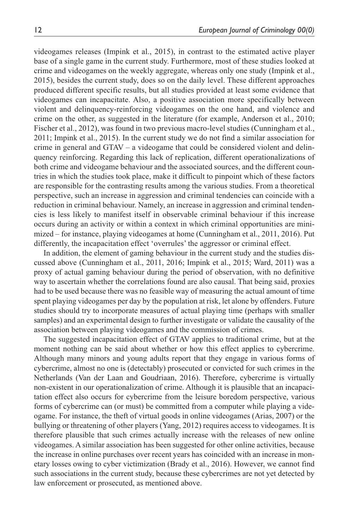videogames releases (Impink et al., 2015), in contrast to the estimated active player base of a single game in the current study. Furthermore, most of these studies looked at crime and videogames on the weekly aggregate, whereas only one study (Impink et al., 2015), besides the current study, does so on the daily level. These different approaches produced different specific results, but all studies provided at least some evidence that videogames can incapacitate. Also, a positive association more specifically between violent and delinquency-reinforcing videogames on the one hand, and violence and crime on the other, as suggested in the literature (for example, Anderson et al., 2010; Fischer et al., 2012), was found in two previous macro-level studies (Cunningham et al., 2011; Impink et al., 2015). In the current study we do not find a similar association for crime in general and GTAV – a videogame that could be considered violent and delinquency reinforcing. Regarding this lack of replication, different operationalizations of both crime and videogame behaviour and the associated sources, and the different countries in which the studies took place, make it difficult to pinpoint which of these factors are responsible for the contrasting results among the various studies. From a theoretical perspective, such an increase in aggression and criminal tendencies can coincide with a reduction in criminal behaviour. Namely, an increase in aggression and criminal tendencies is less likely to manifest itself in observable criminal behaviour if this increase occurs during an activity or within a context in which criminal opportunities are minimized – for instance, playing videogames at home (Cunningham et al., 2011, 2016). Put differently, the incapacitation effect 'overrules' the aggressor or criminal effect.

In addition, the element of gaming behaviour in the current study and the studies discussed above (Cunningham et al., 2011, 2016; Impink et al., 2015; Ward, 2011) was a proxy of actual gaming behaviour during the period of observation, with no definitive way to ascertain whether the correlations found are also causal. That being said, proxies had to be used because there was no feasible way of measuring the actual amount of time spent playing videogames per day by the population at risk, let alone by offenders. Future studies should try to incorporate measures of actual playing time (perhaps with smaller samples) and an experimental design to further investigate or validate the causality of the association between playing videogames and the commission of crimes.

The suggested incapacitation effect of GTAV applies to traditional crime, but at the moment nothing can be said about whether or how this effect applies to cybercrime. Although many minors and young adults report that they engage in various forms of cybercrime, almost no one is (detectably) prosecuted or convicted for such crimes in the Netherlands (Van der Laan and Goudriaan, 2016). Therefore, cybercrime is virtually non-existent in our operationalization of crime. Although it is plausible that an incapacitation effect also occurs for cybercrime from the leisure boredom perspective, various forms of cybercrime can (or must) be committed from a computer while playing a videogame. For instance, the theft of virtual goods in online videogames (Arias, 2007) or the bullying or threatening of other players (Yang, 2012) requires access to videogames. It is therefore plausible that such crimes actually increase with the releases of new online videogames. A similar association has been suggested for other online activities, because the increase in online purchases over recent years has coincided with an increase in monetary losses owing to cyber victimization (Brady et al., 2016). However, we cannot find such associations in the current study, because these cybercrimes are not yet detected by law enforcement or prosecuted, as mentioned above.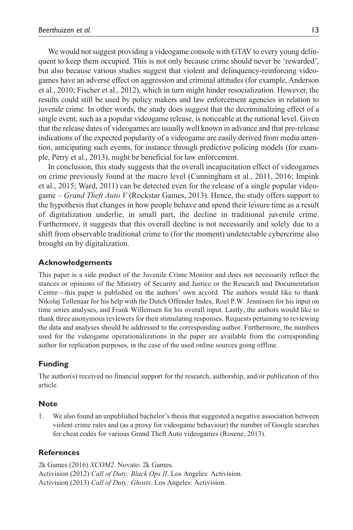We would not suggest providing a videogame console with GTAV to every young delinquent to keep them occupied. This is not only because crime should never be 'rewarded', but also because various studies suggest that violent and delinquency-reinforcing videogames have an adverse effect on aggression and criminal attitudes (for example, Anderson et al., 2010; Fischer et al., 2012), which in turn might hinder resocialization. However, the results could still be used by policy makers and law enforcement agencies in relation to juvenile crime. In other words, the study does suggest that the decriminalizing effect of a single event, such as a popular videogame release, is noticeable at the national level. Given that the release dates of videogames are usually well known in advance and that pre-release indications of the expected popularity of a videogame are easily derived from media attention, anticipating such events, for instance through predictive policing models (for example, Perry et al., 2013), might be beneficial for law enforcement.

In conclusion, this study suggests that the overall incapacitation effect of videogames on crime previously found at the macro level (Cunningham et al., 2011, 2016; Impink et al., 2015; Ward, 2011) can be detected even for the release of a single popular videogame – *Grand Theft Auto V* (Rockstar Games, 2013). Hence, the study offers support to the hypothesis that changes in how people behave and spend their leisure time as a result of digitalization underlie, in small part, the decline in traditional juvenile crime. Furthermore, it suggests that this overall decline is not necessarily and solely due to a shift from observable traditional crime to (for the moment) undetectable cybercrime also brought on by digitalization.

#### **Acknowledgements**

This paper is a side product of the Juvenile Crime Monitor and does not necessarily reflect the stances or opinions of the Ministry of Security and Justice or the Research and Documentation Centre—this paper is published on the authors' own accord. The authors would like to thank Nikolaj Tollenaar for his help with the Dutch Offender Index, Roel P.W. Jennissen for his input on time series analyses, and Frank Willemsen for his overall input. Lastly, the authors would like to thank three anonymous reviewers for their stimulating responses. Requests pertaining to reviewing the data and analyses should be addressed to the corresponding author. Furthermore, the numbers used for the videogame operationalizations in the paper are available from the corresponding author for replication purposes, in the case of the used online sources going offline.

#### **Funding**

The author(s) received no financial support for the research, authorship, and/or publication of this article.

#### **Note**

1. We also found an unpublished bachelor's thesis that suggested a negative association between violent crime rates and (as a proxy for videogame behaviour) the number of Google searches for cheat codes for various Grand Theft Auto videogames (Rosene, 2013).

### **References**

2k Games (2016) *XCOM2*. Novato: 2k Games. Activision (2012) *Call of Duty: Black Ops II*. Los Angeles: Activision. Activision (2013) *Call of Duty: Ghosts*. Los Angeles: Activision.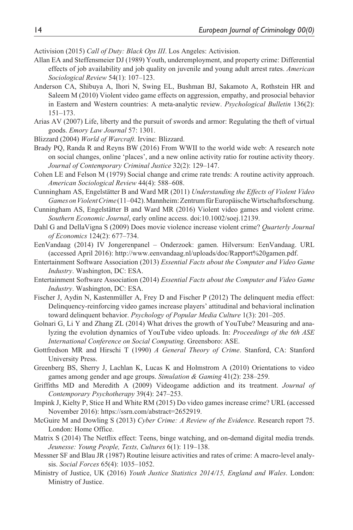Activision (2015) *Call of Duty: Black Ops III*. Los Angeles: Activision.

- Allan EA and Steffensmeier DJ (1989) Youth, underemployment, and property crime: Differential effects of job availability and job quality on juvenile and young adult arrest rates. *American Sociological Review* 54(1): 107–123.
- Anderson CA, Shibuya A, Ihori N, Swing EL, Bushman BJ, Sakamoto A, Rothstein HR and Saleem M (2010) Violent video game effects on aggression, empathy, and prosocial behavior in Eastern and Western countries: A meta-analytic review. *Psychological Bulletin* 136(2): 151–173.
- Arias AV (2007) Life, liberty and the pursuit of swords and armor: Regulating the theft of virtual goods. *Emory Law Journal* 57: 1301.
- Blizzard (2004) *World of Warcraft*. Irvine: Blizzard.
- Brady PQ, Randa R and Reyns BW (2016) From WWII to the world wide web: A research note on social changes, online 'places', and a new online activity ratio for routine activity theory. *Journal of Contemporary Criminal Justice* 32(2): 129–147.
- Cohen LE and Felson M (1979) Social change and crime rate trends: A routine activity approach. *American Sociological Review* 44(4): 588–608.
- Cunningham AS, Engelstätter B and Ward MR (2011) *Understanding the Effects of Violent Video Games on Violent Crime* (11–042). Mannheim: Zentrum für Europäische Wirtschaftsforschung.
- Cunningham AS, Engelstätter B and Ward MR (2016) Violent video games and violent crime. *Southern Economic Journal*, early online access. doi:10.1002/soej.12139.
- Dahl G and DellaVigna S (2009) Does movie violence increase violent crime? *Quarterly Journal of Economics* 124(2): 677–734.
- EenVandaag (2014) IV Jongerenpanel Onderzoek: gamen. Hilversum: EenVandaag. URL (accessed April 2016): http://www.eenvandaag.nl/uploads/doc/Rapport%20gamen.pdf.
- Entertainment Software Association (2013) *Essential Facts about the Computer and Video Game Industry*. Washington, DC: ESA.
- Entertainment Software Association (2014) *Essential Facts about the Computer and Video Game Industry*. Washington, DC: ESA.
- Fischer J, Aydin N, Kastenmüller A, Frey D and Fischer P (2012) The delinquent media effect: Delinquency-reinforcing video games increase players' attitudinal and behavioral inclination toward delinquent behavior. *Psychology of Popular Media Culture* 1(3): 201–205.
- Golnari G, Li Y and Zhang ZL (2014) What drives the growth of YouTube? Measuring and analyzing the evolution dynamics of YouTube video uploads. In: *Proceedings of the 6th ASE International Conference on Social Computing*. Greensboro: ASE.
- Gottfredson MR and Hirschi T (1990) *A General Theory of Crime*. Stanford, CA: Stanford University Press.
- Greenberg BS, Sherry J, Lachlan K, Lucas K and Holmstrom A (2010) Orientations to video games among gender and age groups. *Simulation & Gaming* 41(2): 238–259.
- Griffiths MD and Meredith A (2009) Videogame addiction and its treatment. *Journal of Contemporary Psychotherapy* 39(4): 247–253.
- Impink J, Kielty P, Stice H and White RM (2015) Do video games increase crime? URL (accessed November 2016): https://ssrn.com/abstract=2652919.
- McGuire M and Dowling S (2013) *Cyber Crime: A Review of the Evidence*. Research report 75. London: Home Office.
- Matrix S (2014) The Netflix effect: Teens, binge watching, and on-demand digital media trends. *Jeunesse: Young People, Texts, Cultures* 6(1): 119–138.
- Messner SF and Blau JR (1987) Routine leisure activities and rates of crime: A macro-level analysis. *Social Forces* 65(4): 1035–1052.
- Ministry of Justice, UK (2016) *Youth Justice Statistics 2014/15, England and Wales*. London: Ministry of Justice.